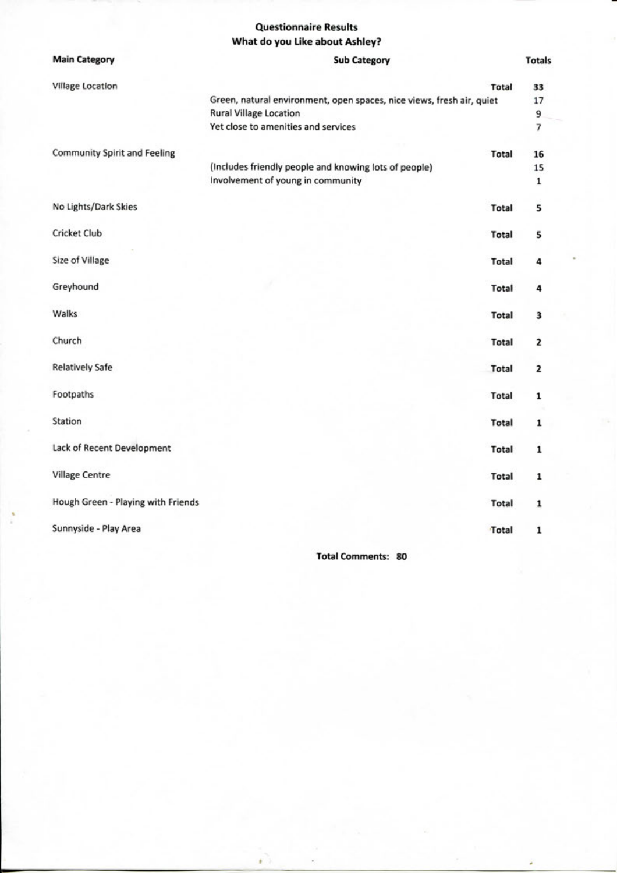#### **Questionnaire Results What do you Like about Ashley?**

| <b>Main Category</b>                | <b>Sub Category</b>                                                   | <b>Totals</b>            |
|-------------------------------------|-----------------------------------------------------------------------|--------------------------|
| <b>Village Location</b>             | <b>Total</b>                                                          | 33                       |
|                                     | Green, natural environment, open spaces, nice views, fresh air, quiet | 17                       |
|                                     | <b>Rural Village Location</b>                                         | 9                        |
|                                     | Yet close to amenities and services                                   | $\overline{\phantom{a}}$ |
| <b>Community Spirit and Feeling</b> | <b>Total</b>                                                          | 16                       |
|                                     | (Includes friendly people and knowing lots of people)                 | 15                       |
|                                     | Involvement of young in community                                     | $\mathbf 1$              |
| No Lights/Dark Skies                | Total                                                                 | 5                        |
| <b>Cricket Club</b>                 | <b>Total</b>                                                          | 5                        |
| Size of Village                     | <b>Total</b>                                                          | 4                        |
| Greyhound                           | <b>Total</b>                                                          | 4                        |
| Walks                               | Total                                                                 | 3                        |
| Church                              | <b>Total</b>                                                          | 2                        |
| <b>Relatively Safe</b>              | <b>Total</b>                                                          | 2                        |
| Footpaths                           | Total                                                                 | 1                        |
| Station                             | <b>Total</b>                                                          | 1                        |
| Lack of Recent Development          | <b>Total</b>                                                          | $\mathbf 1$              |
| <b>Village Centre</b>               | Total                                                                 | 1                        |
| Hough Green - Playing with Friends  | <b>Total</b>                                                          | 1                        |
| Sunnyside - Play Area               | Total                                                                 | $\mathbf 1$              |
|                                     |                                                                       |                          |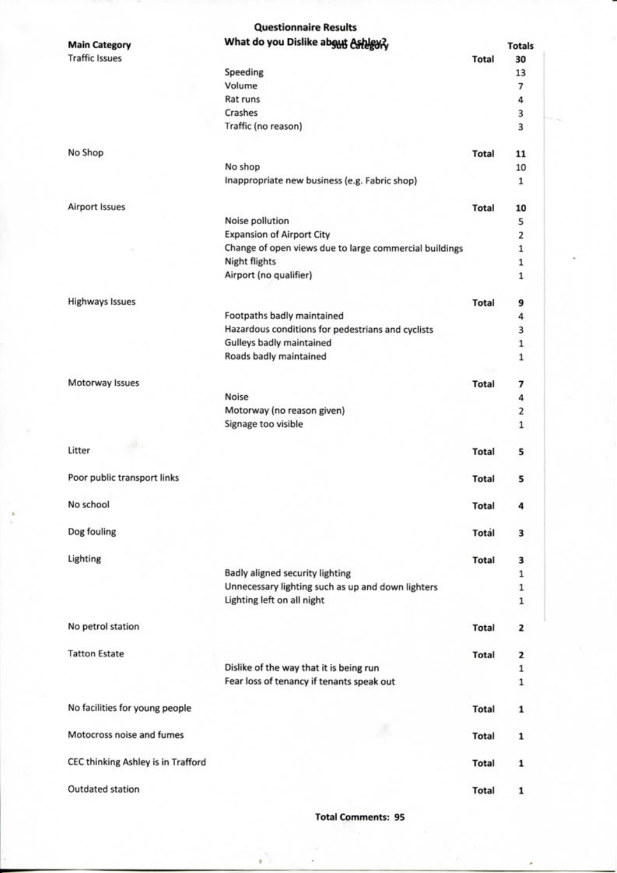|                                    | <b>Questionnaire Results</b>                             |              |               |
|------------------------------------|----------------------------------------------------------|--------------|---------------|
| <b>Main Category</b>               | What do you Dislike about Ashigury                       |              | <b>Totals</b> |
| <b>Traffic Issues</b>              |                                                          | <b>Total</b> | 30            |
|                                    | Speeding                                                 |              | 13            |
|                                    | Volume                                                   |              | 7             |
|                                    | Rat runs                                                 |              | 4             |
|                                    | Crashes                                                  |              | 3             |
|                                    | Traffic (no reason)                                      |              | 3             |
|                                    |                                                          |              |               |
| No Shop                            |                                                          | <b>Total</b> | 11            |
|                                    | No shop<br>Inappropriate new business (e.g. Fabric shop) |              | 10<br>1       |
|                                    |                                                          |              |               |
| <b>Airport Issues</b>              |                                                          | <b>Total</b> | 10            |
|                                    | Noise pollution                                          |              | 5             |
|                                    | <b>Expansion of Airport City</b>                         |              | 2             |
|                                    | Change of open views due to large commercial buildings   |              | $\mathbf 1$   |
|                                    | <b>Night flights</b>                                     |              | $\mathbf 1$   |
|                                    | Airport (no qualifier)                                   |              | $\mathbf{1}$  |
| <b>Highways Issues</b>             |                                                          | <b>Total</b> |               |
|                                    | Footpaths badly maintained                               |              | 9<br>4        |
|                                    | Hazardous conditions for pedestrians and cyclists        |              | 3             |
|                                    | Gulleys badly maintained                                 |              | $\mathbf 1$   |
|                                    | Roads badly maintained                                   |              | $\mathbf 1$   |
|                                    |                                                          |              |               |
| Motorway Issues                    |                                                          | <b>Total</b> | 7             |
|                                    | Noise                                                    |              | 4             |
|                                    | Motorway (no reason given)                               |              | 2             |
|                                    | Signage too visible                                      |              | 1             |
| -Ab<br>Litter                      |                                                          | <b>Total</b> | 5             |
|                                    |                                                          |              |               |
| Poor public transport links        |                                                          | <b>Total</b> | 5             |
|                                    |                                                          |              |               |
| No school                          |                                                          | <b>Total</b> | 4             |
|                                    |                                                          |              |               |
| Dog fouling                        |                                                          | <b>Total</b> | з             |
| Lighting                           |                                                          | <b>Total</b> | 3             |
|                                    | Badly aligned security lighting                          |              | $\mathbf 1$   |
|                                    | Unnecessary lighting such as up and down lighters        |              | $\mathbf 1$   |
|                                    | Lighting left on all night                               |              | 1             |
|                                    |                                                          |              |               |
| No petrol station                  |                                                          | <b>Total</b> | 2             |
|                                    |                                                          |              |               |
| <b>Tatton Estate</b>               |                                                          | <b>Total</b> | 2             |
|                                    | Dislike of the way that it is being run                  |              | 1             |
|                                    | Fear loss of tenancy if tenants speak out                |              | 1             |
| No facilities for young people     |                                                          | <b>Total</b> | 1             |
|                                    |                                                          |              |               |
| Motocross noise and fumes          |                                                          | <b>Total</b> | 1             |
|                                    |                                                          |              |               |
| CEC thinking Ashley is in Trafford |                                                          | <b>Total</b> | 1             |
| Outdated station                   |                                                          | <b>Total</b> |               |
|                                    |                                                          |              | 1             |

**Total Comments: 95**

ŕ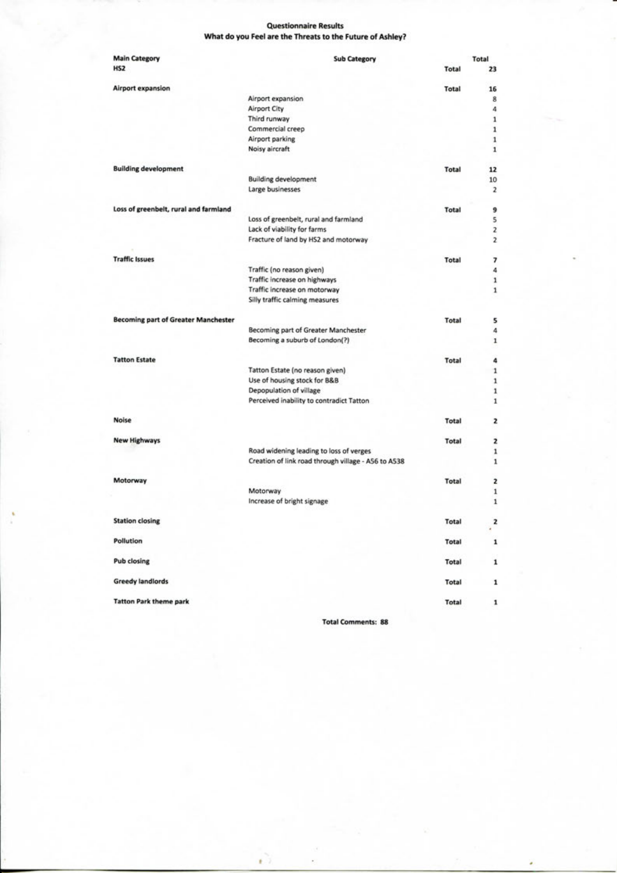#### **Questionnaire Results What do you Feel are the Threats to the Future of Ashley?**

| <b>Main Category</b>                       | <b>Sub Category</b>                                 |              | Total                   |
|--------------------------------------------|-----------------------------------------------------|--------------|-------------------------|
| HS <sub>2</sub>                            |                                                     | Total        | 23                      |
| Airport expansion                          |                                                     | Total        | 16                      |
|                                            | Airport expansion                                   |              | 8                       |
|                                            | Airport City                                        |              | 4                       |
|                                            | Third runway                                        |              | $\mathbf 1$             |
|                                            | Commercial creep                                    |              | 1                       |
|                                            | Airport parking                                     |              | 1                       |
|                                            | Noisy aircraft                                      |              | 1                       |
| <b>Building development</b>                |                                                     | <b>Total</b> | 12                      |
|                                            | <b>Building development</b>                         |              | 10                      |
|                                            | Large businesses                                    |              | $\overline{\mathbf{z}}$ |
| Loss of greenbelt, rural and farmland      |                                                     | Total        | 9                       |
|                                            | Loss of greenbelt, rural and farmland               |              | 5                       |
|                                            | Lack of viability for farms                         |              | $\overline{\mathbf{z}}$ |
|                                            | Fracture of land by HS2 and motorway                |              | $\overline{\mathbf{z}}$ |
| <b>Traffic Issues</b>                      |                                                     | Total        | 7                       |
|                                            | Traffic (no reason given)                           |              | 4                       |
|                                            | Traffic increase on highways                        |              | $\mathbf 1$             |
|                                            | Traffic increase on motorway                        |              | 1                       |
|                                            | Silly traffic calming measures                      |              |                         |
| <b>Becoming part of Greater Manchester</b> |                                                     | Total        | 5                       |
|                                            | Becoming part of Greater Manchester                 |              | 4                       |
|                                            | Becoming a suburb of London(?)                      |              | 1                       |
| <b>Tatton Estate</b>                       |                                                     | Total        | 4                       |
|                                            | Tatton Estate (no reason given)                     |              | $\mathbf 1$             |
|                                            | Use of housing stock for B&B                        |              | $\mathbf 1$             |
|                                            | Depopulation of village                             |              | 1                       |
|                                            | Perceived inability to contradict Tatton            |              | 1                       |
| Noise                                      |                                                     | Total        | 2                       |
| <b>New Highways</b>                        |                                                     | Total        | 2                       |
|                                            | Road widening leading to loss of verges             |              | 1                       |
|                                            | Creation of link road through village - A56 to A538 |              | 1                       |
| Motorway                                   |                                                     | Total        | 2                       |
|                                            | Motorway                                            |              | 1                       |
|                                            | Increase of bright signage                          |              | 1                       |
| <b>Station closing</b>                     |                                                     | Total        | 2<br>a.                 |
| Pollution                                  |                                                     | Total        | 1                       |
| <b>Pub closing</b>                         |                                                     | Total        | 1                       |
| <b>Greedy landlords</b>                    |                                                     | Total        | 1                       |
| <b>Tatton Park theme park</b>              |                                                     | Total        | 1                       |

**Total Comments: 88**

ŕ.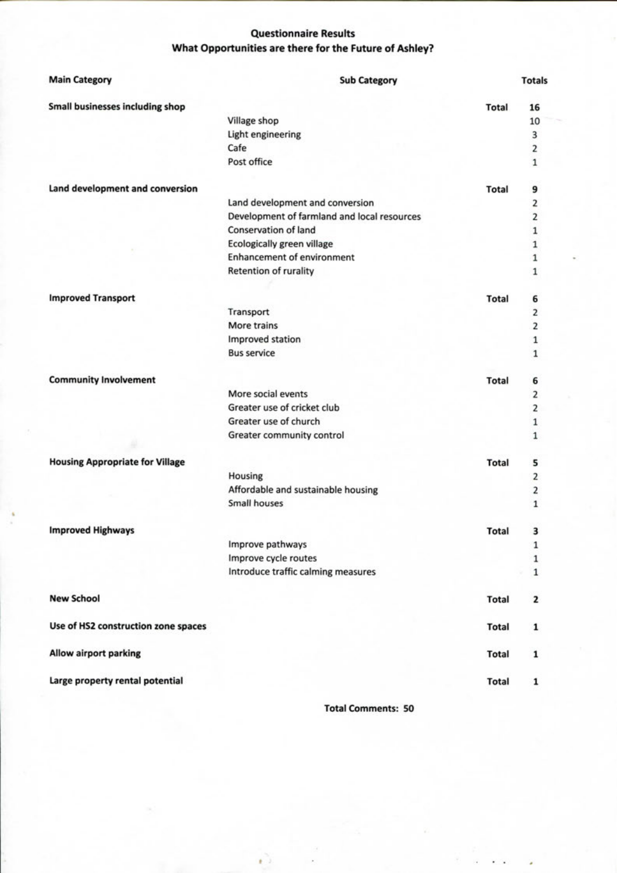#### **Questionnaire Results What Opportunities are there for the Future of Ashley?**

| <b>Main Category</b>                   | <b>Sub Category</b>                         |              | <b>Totals</b>           |
|----------------------------------------|---------------------------------------------|--------------|-------------------------|
| <b>Small businesses including shop</b> |                                             | <b>Total</b> | 16                      |
|                                        | Village shop                                |              | 10                      |
|                                        | Light engineering                           |              | 3                       |
|                                        | Cafe                                        |              | 2                       |
|                                        | Post office                                 |              | $\mathbf{1}$            |
| Land development and conversion        |                                             | Total        | 9                       |
|                                        | Land development and conversion             |              | 2                       |
|                                        | Development of farmland and local resources |              | 2                       |
|                                        | <b>Conservation of land</b>                 |              | 1                       |
|                                        | <b>Ecologically green village</b>           |              | 1                       |
|                                        | <b>Enhancement of environment</b>           |              | $\mathbf{1}$            |
|                                        | Retention of rurality                       |              | $\mathbf{1}$            |
| <b>Improved Transport</b>              |                                             | <b>Total</b> | 6                       |
|                                        | Transport                                   |              | $\overline{\mathbf{c}}$ |
|                                        | More trains                                 |              | $\overline{\mathbf{2}}$ |
|                                        | Improved station                            |              | 1                       |
|                                        | <b>Bus service</b>                          |              | 1                       |
| <b>Community Involvement</b>           |                                             | <b>Total</b> | 6                       |
|                                        | More social events                          |              | 2                       |
|                                        | Greater use of cricket club                 |              | 2                       |
|                                        | Greater use of church                       |              | 1                       |
|                                        | Greater community control                   |              | 1                       |
| <b>Housing Appropriate for Village</b> |                                             | <b>Total</b> | 5                       |
|                                        | Housing                                     |              | 2                       |
|                                        | Affordable and sustainable housing          |              | 2                       |
|                                        | Small houses                                |              | 1                       |
| <b>Improved Highways</b>               |                                             | <b>Total</b> | 3                       |
|                                        | Improve pathways                            |              | 1                       |
|                                        | Improve cycle routes                        |              | $\mathbf 1$             |
|                                        | Introduce traffic calming measures          |              | $\mathbf 1$             |
| <b>New School</b>                      |                                             | <b>Total</b> | $\mathbf{z}$            |
| Use of HS2 construction zone spaces    |                                             | <b>Total</b> | 1                       |
| <b>Allow airport parking</b>           |                                             | <b>Total</b> | 1                       |
| Large property rental potential        |                                             | <b>Total</b> | 1                       |

t -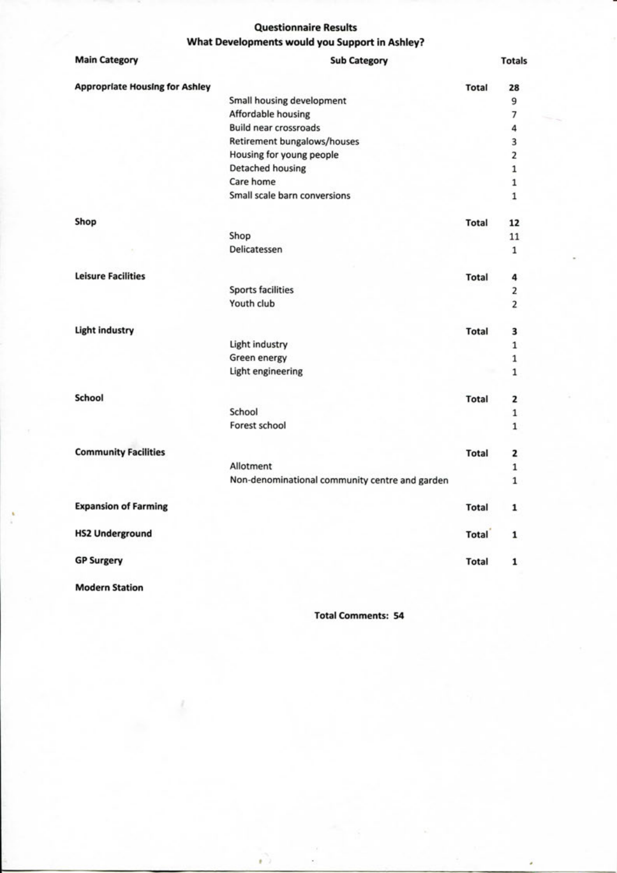#### **Questionnaire Results What Developments would you Support in Ashley?**

| <b>Main Category</b>                  | <b>Sub Category</b>                            |              | <b>Totals</b>           |
|---------------------------------------|------------------------------------------------|--------------|-------------------------|
| <b>Appropriate Housing for Ashley</b> |                                                | <b>Total</b> | 28                      |
|                                       | Small housing development                      |              | 9                       |
|                                       | Affordable housing                             |              | 7                       |
|                                       | <b>Build near crossroads</b>                   |              | 4                       |
|                                       | Retirement bungalows/houses                    |              | 3                       |
|                                       | Housing for young people                       |              | $\overline{\mathbf{2}}$ |
|                                       | <b>Detached housing</b>                        |              | $\mathbf 1$             |
|                                       | Care home                                      |              | $\mathbf 1$             |
|                                       | Small scale barn conversions                   |              | $\mathbf{1}$            |
| Shop                                  |                                                | <b>Total</b> | 12                      |
|                                       | Shop                                           |              | 11                      |
|                                       | Delicatessen                                   |              | 1                       |
| <b>Leisure Facilities</b>             |                                                | Total        | 4                       |
|                                       | <b>Sports facilities</b>                       |              | 2                       |
|                                       | Youth club                                     |              | $\overline{2}$          |
| <b>Light industry</b>                 |                                                | <b>Total</b> | 3                       |
|                                       | Light industry                                 |              | 1                       |
|                                       | Green energy                                   |              | 1                       |
|                                       | Light engineering                              |              | $\mathbf 1$             |
| School                                |                                                | <b>Total</b> | 2                       |
|                                       | School                                         |              | $\,$ 1 $\,$             |
|                                       | Forest school                                  |              | $\mathbf{1}$            |
| <b>Community Facilities</b>           |                                                | <b>Total</b> | 2                       |
|                                       | Allotment                                      |              | $\mathbf 1$             |
|                                       | Non-denominational community centre and garden |              | $\mathbf{1}$            |
| <b>Expansion of Farming</b>           |                                                | <b>Total</b> | 1                       |
| <b>HS2 Underground</b>                |                                                | Total        | 1                       |
| <b>GP Surgery</b>                     |                                                | Total        | 1                       |

**Modern Station**

**Total Comments: 54**

кò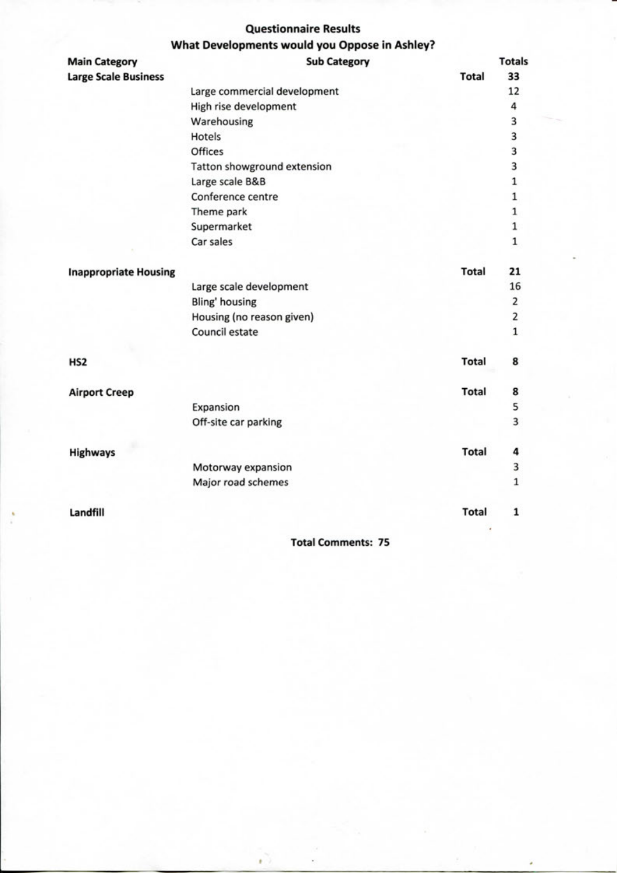#### **Questionnaire Results What Developments would you Oppose in Ashley?**

| <b>Main Category</b>         | what Developments would you Oppose in Ashley?<br><b>Sub Category</b> |              | <b>Totals</b>  |
|------------------------------|----------------------------------------------------------------------|--------------|----------------|
| <b>Large Scale Business</b>  |                                                                      | <b>Total</b> | 33             |
|                              | Large commercial development                                         |              | 12             |
|                              | High rise development                                                |              | 4              |
|                              | Warehousing                                                          |              | 3              |
|                              | Hotels                                                               |              | 3              |
|                              | Offices                                                              |              | 3              |
|                              | Tatton showground extension                                          |              | 3              |
|                              | Large scale B&B                                                      |              | $\mathbf{1}$   |
|                              | Conference centre                                                    |              | $\mathbf 1$    |
|                              | Theme park                                                           |              | $\mathbf{1}$   |
|                              | Supermarket                                                          |              | $\mathbf 1$    |
|                              | Car sales                                                            |              | $\mathbf 1$    |
| <b>Inappropriate Housing</b> |                                                                      | <b>Total</b> | 21             |
|                              | Large scale development                                              |              | 16             |
|                              | Bling' housing                                                       |              | $\overline{2}$ |
|                              | Housing (no reason given)                                            |              | 2              |
|                              | Council estate                                                       |              | $\mathbf 1$    |
| HS <sub>2</sub>              |                                                                      | <b>Total</b> | 8              |
| <b>Airport Creep</b>         |                                                                      | <b>Total</b> | 8              |
|                              | Expansion                                                            |              | 5              |
|                              | Off-site car parking                                                 |              | 3              |
| <b>Highways</b>              |                                                                      | <b>Total</b> | 4              |
|                              | Motorway expansion                                                   |              | 3              |
|                              | Major road schemes                                                   |              | $\mathbf 1$    |
| Landfill                     |                                                                      | <b>Total</b> | $\mathbf{1}$   |
|                              |                                                                      |              |                |

**Total Comments: 75**

٠

¥.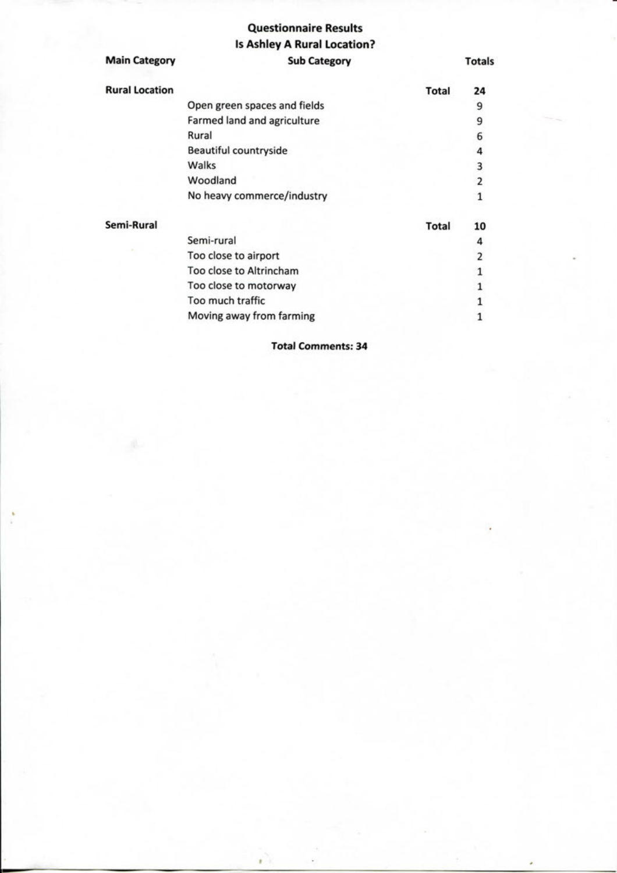## **Questionnaire Results Is Ashley A Rural Location?**

| <b>Main Category</b>  | <b>Sub Category</b>          |              | <b>Totals</b> |
|-----------------------|------------------------------|--------------|---------------|
| <b>Rural Location</b> |                              | Total        | 24            |
|                       | Open green spaces and fields |              | 9             |
|                       | Farmed land and agriculture  |              | 9             |
|                       | Rural                        |              | 6             |
|                       | <b>Beautiful countryside</b> |              | 4             |
|                       | Walks                        |              | 3             |
|                       | Woodland                     |              | 2             |
|                       | No heavy commerce/industry   |              | 1             |
| Semi-Rural            |                              | <b>Total</b> | 10            |
|                       | Semi-rural                   |              | 4             |
|                       | Too close to airport         |              | 2             |
|                       | Too close to Altrincham      |              |               |
|                       | Too close to motorway        |              |               |
|                       | Too much traffic             |              |               |
|                       | Moving away from farming     |              |               |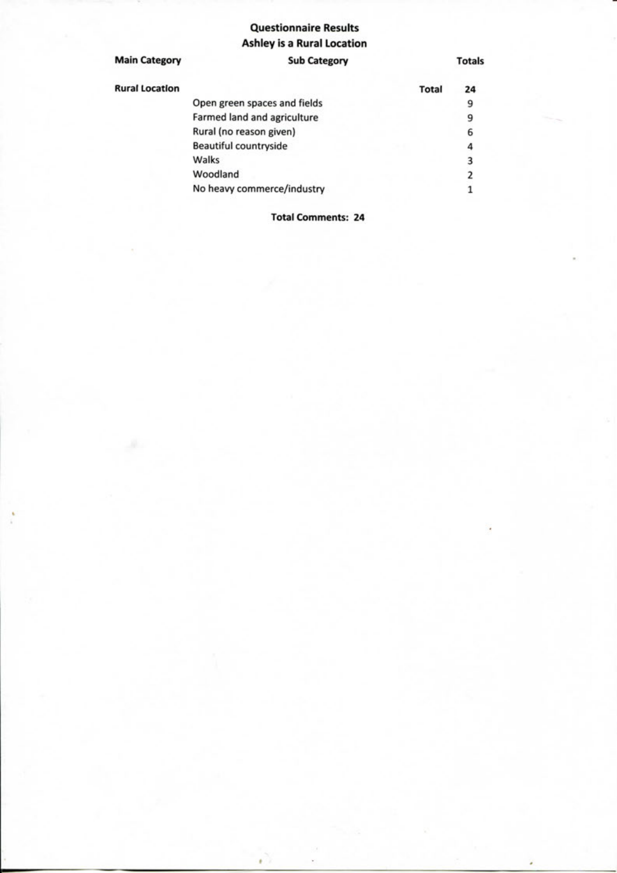## **Questionnaire Results Ashley is a Rural Location**

| <b>Main Category</b>  | <b>Sub Category</b>          |              | <b>Totals</b> |
|-----------------------|------------------------------|--------------|---------------|
| <b>Rural Location</b> |                              | <b>Total</b> | 24            |
|                       | Open green spaces and fields |              | 9             |
|                       | Farmed land and agriculture  |              | 9             |
|                       | Rural (no reason given)      |              | 6             |
|                       | Beautiful countryside        |              | 4             |
|                       | Walks                        |              | 3             |
|                       | Woodland                     |              | 2             |
|                       | No heavy commerce/industry   |              |               |
|                       |                              |              |               |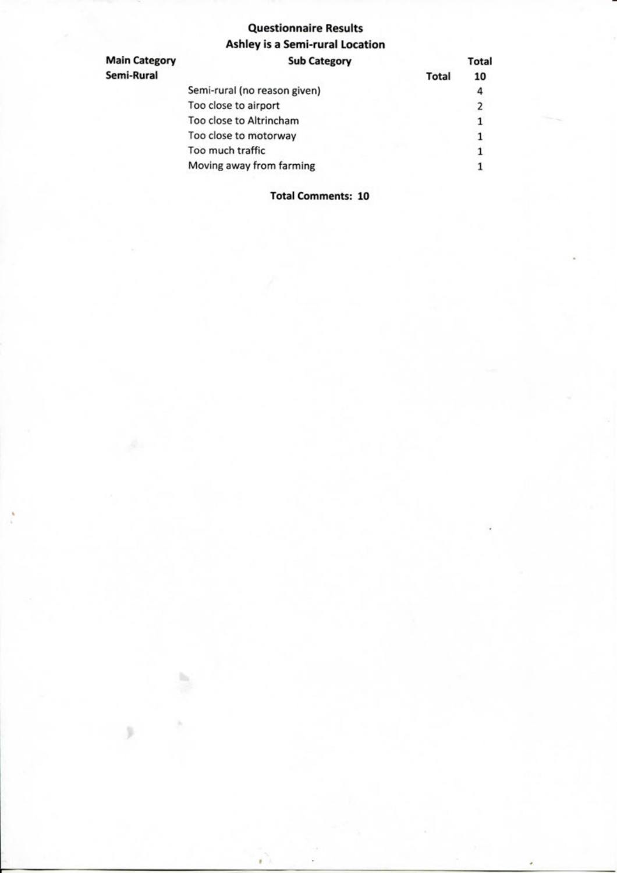## **Questionnaire Results Ashley is a Semi-rural Location**

| <b>Main Category</b> | <b>Sub Category</b>          |              | Total |
|----------------------|------------------------------|--------------|-------|
| Semi-Rural           |                              | <b>Total</b> | 10    |
|                      | Semi-rural (no reason given) |              |       |
|                      | Too close to airport         |              |       |
|                      | Too close to Altrincham      |              |       |
|                      | Too close to motorway        |              |       |
|                      | Too much traffic             |              |       |
|                      | Moving away from farming     |              |       |

**Total Comments: 10**

h.

 $\sqrt{2}$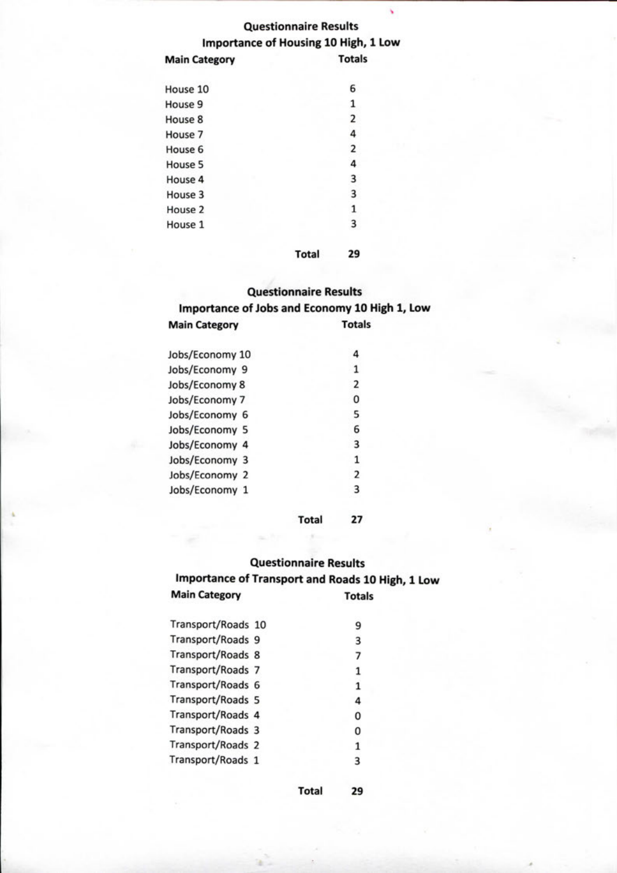## **Questionnaire Results Importance of Housing 10 High, 1 Low**

š

| <b>Main Category</b> | <b>Totals</b> |
|----------------------|---------------|
| House 10             | 6             |
| House 9              | 1             |
| House 8              | 2             |
| House 7              | 4             |
| House 6              | 2             |
| House 5              |               |
| House 4              | 3             |
| House 3              | 3             |
| House 2              | 1             |
| House 1              | з             |
|                      |               |

#### **Total 29**

## **Questionnaire Results Importance of Jobs and Economy 10 High 1, Low Main Category Totals**

| Jobs/Economy 10 | 4                       |  |
|-----------------|-------------------------|--|
| Jobs/Economy 9  | 1                       |  |
| Jobs/Economy 8  | 2                       |  |
| Jobs/Economy 7  | 0                       |  |
| Jobs/Economy 6  | 5                       |  |
| Jobs/Economy 5  | 6                       |  |
| Jobs/Economy 4  | 3                       |  |
| Jobs/Economy 3  | 1                       |  |
| Jobs/Economy 2  | $\overline{\mathbf{2}}$ |  |
| Jobs/Economy 1  | 3                       |  |
|                 |                         |  |

**Total 27**

### **Questionnaire Results**

## **Importance of Transport and Roads 10 High, 1 Low Main Category Totals**

| Transport/Roads 10 | 9 |
|--------------------|---|
| Transport/Roads 9  | 3 |
| Transport/Roads 8  | 7 |
| Transport/Roads 7  |   |
| Transport/Roads 6  | 1 |
| Transport/Roads 5  | 4 |
| Transport/Roads 4  | 0 |
| Transport/Roads 3  | 0 |
| Transport/Roads 2  | 1 |
| Transport/Roads 1  | 3 |
|                    |   |

**Total 29**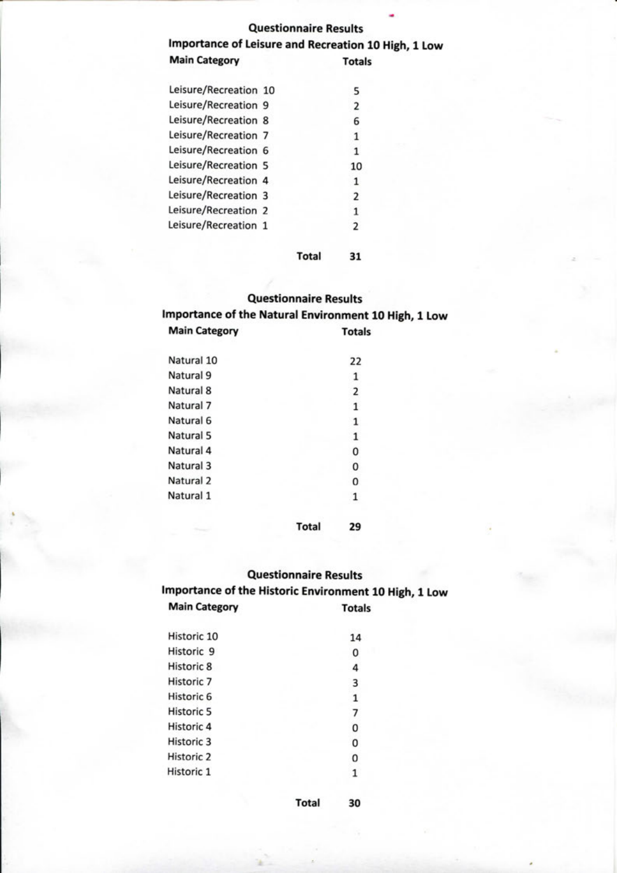#### **Questionnaire Results**

### **Importance of Leisure and Recreation 10 High, 1 Low Main Category Totals**

| Leisure/Recreation 10 | 5              |  |
|-----------------------|----------------|--|
| Leisure/Recreation 9  | 2              |  |
| Leisure/Recreation 8  | 6              |  |
| Leisure/Recreation 7  | 1              |  |
| Leisure/Recreation 6  | 1              |  |
| Leisure/Recreation 5  | 10             |  |
| Leisure/Recreation 4  | 1              |  |
| Leisure/Recreation 3  | 2              |  |
| Leisure/Recreation 2  | 1              |  |
| Leisure/Recreation 1  | $\overline{2}$ |  |
|                       |                |  |

#### **Total 31**

#### **Questionnaire Results**

**Importance of the Natural Environment 10 High, 1 Low Main Category Totals**

| Natural 10 | 22 |
|------------|----|
| Natural 9  | 1  |
| Natural 8  | 2  |
| Natural 7  | 1  |
| Natural 6  | 1  |
| Natural 5  | 1  |
| Natural 4  | 0  |
| Natural 3  | 0  |
| Natural 2  | Ω  |
| Natural 1  |    |

**Total 29**

# **Questionnaire Results**

**Importance of the Historic Environment 10 High, 1 Low Main Category Totals**

| Historic 10           | 14 |
|-----------------------|----|
| Historic <sub>9</sub> | 0  |
| Historic 8            | 4  |
| Historic <sub>7</sub> | 3  |
| Historic 6            |    |
| <b>Historic 5</b>     |    |
| Historic 4            | 0  |
| Historic 3            | 0  |
| Historic <sub>2</sub> | 0  |
| Historic 1            |    |
|                       |    |

**Total 30**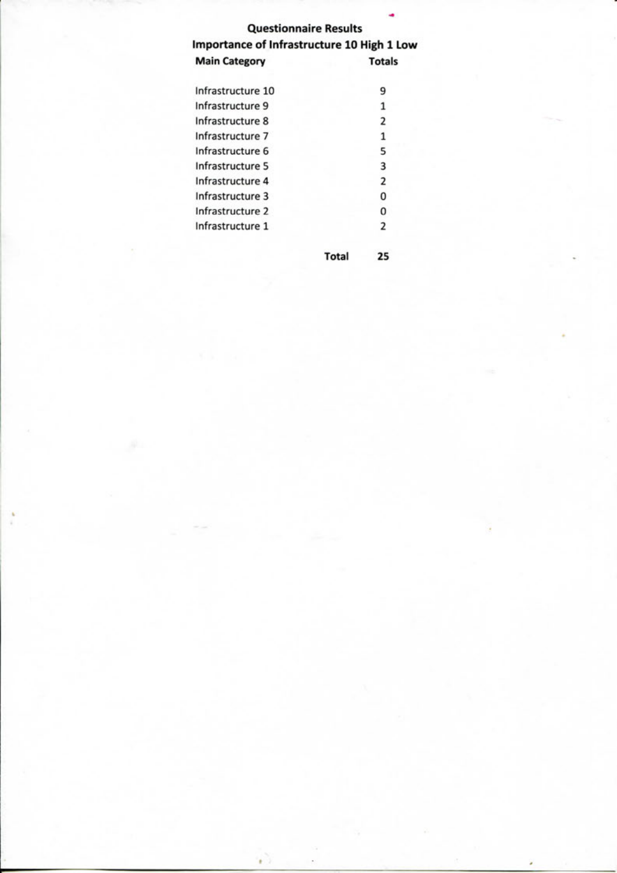## **Questionnaire Results Importance of Infrastructure 10 High 1 Low Main Category Totals**

| Infrastructure 10 | 9                       |
|-------------------|-------------------------|
| Infrastructure 9  | 1                       |
| Infrastructure 8  | 2                       |
| Infrastructure 7  | 1                       |
| Infrastructure 6  | 5                       |
| Infrastructure 5  | 3                       |
| Infrastructure 4  | $\overline{\mathbf{2}}$ |
| Infrastructure 3  | 0                       |
| Infrastructure 2  | 0                       |
| Infrastructure 1  | $\overline{2}$          |
|                   |                         |

¥.

**Total 25**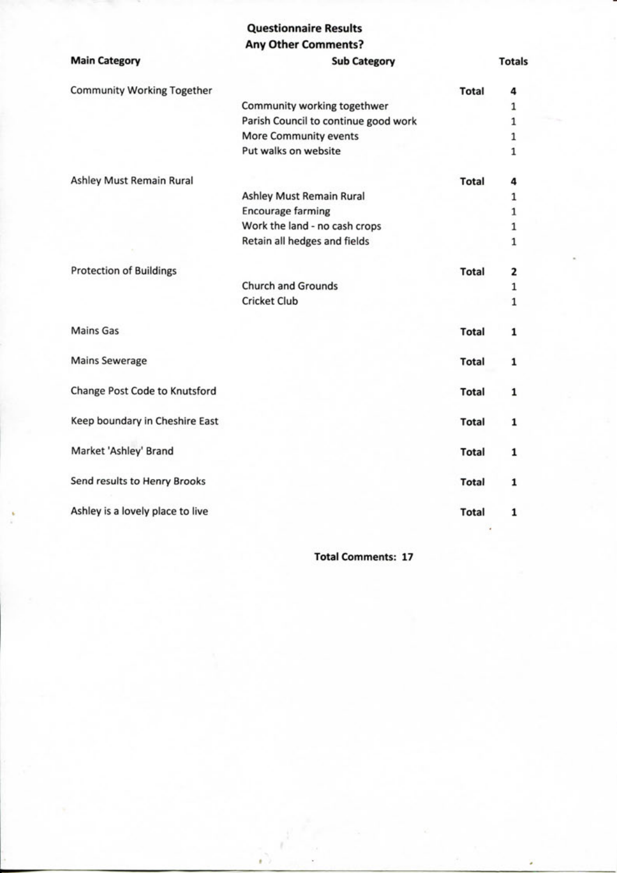## **Questionnaire Results**

| <b>Any Other Comments?</b> |  |
|----------------------------|--|
|----------------------------|--|

| <b>Main Category</b>              | <b>Sub Category</b>                  |              | <b>Totals</b> |
|-----------------------------------|--------------------------------------|--------------|---------------|
| <b>Community Working Together</b> |                                      | <b>Total</b> | 4             |
|                                   | Community working togethwer          |              | 1             |
|                                   | Parish Council to continue good work |              | $\mathbf{1}$  |
|                                   | More Community events                |              | $\mathbf 1$   |
|                                   | Put walks on website                 |              | $\mathbf 1$   |
| Ashley Must Remain Rural          |                                      | <b>Total</b> | 4             |
|                                   | Ashley Must Remain Rural             |              | 1             |
|                                   | <b>Encourage farming</b>             |              | $\mathbf{1}$  |
|                                   | Work the land - no cash crops        |              | $\mathbf 1$   |
|                                   | Retain all hedges and fields         |              | 1             |
| <b>Protection of Buildings</b>    |                                      | <b>Total</b> | 2             |
|                                   | <b>Church and Grounds</b>            |              | $\mathbf{1}$  |
|                                   | <b>Cricket Club</b>                  |              | $\mathbf{1}$  |
| <b>Mains Gas</b>                  |                                      | <b>Total</b> | 1             |
| <b>Mains Sewerage</b>             |                                      | <b>Total</b> | 1             |
| Change Post Code to Knutsford     |                                      | <b>Total</b> | $\mathbf{1}$  |
| Keep boundary in Cheshire East    |                                      | <b>Total</b> | 1             |
| Market 'Ashley' Brand             |                                      | <b>Total</b> | 1             |
| Send results to Henry Brooks      |                                      | <b>Total</b> | 1             |
| Ashley is a lovely place to live  |                                      | <b>Total</b> | 1             |